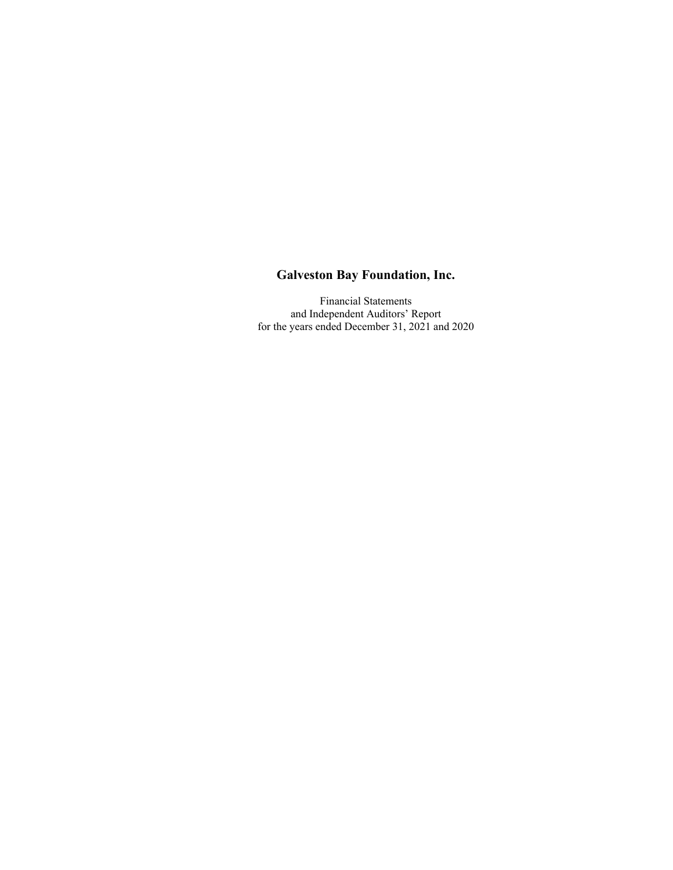Financial Statements and Independent Auditors' Report for the years ended December 31, 2021 and 2020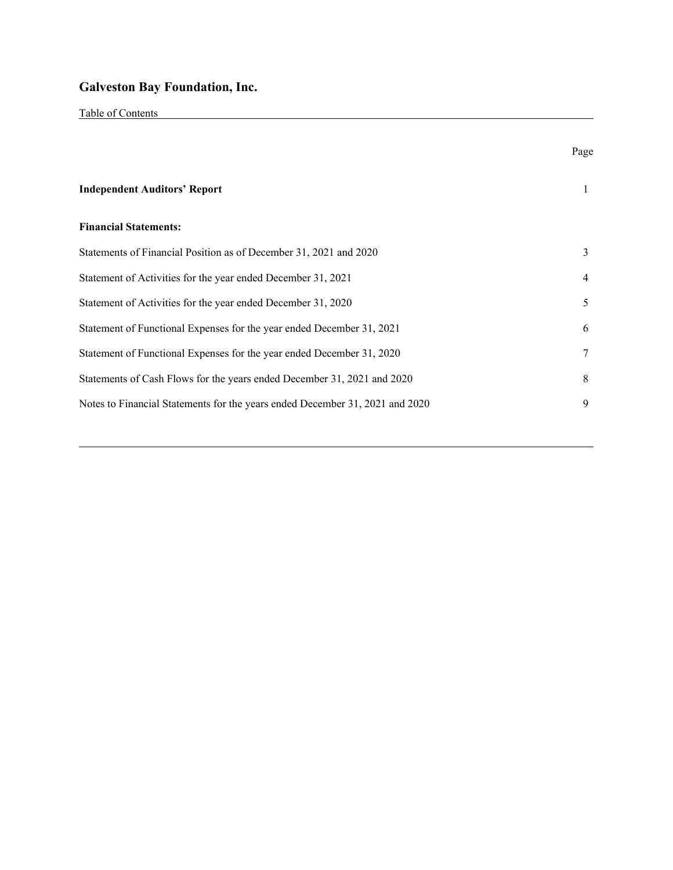Table of Contents

|                                                                              | Page |
|------------------------------------------------------------------------------|------|
| <b>Independent Auditors' Report</b>                                          | 1    |
| <b>Financial Statements:</b>                                                 |      |
| Statements of Financial Position as of December 31, 2021 and 2020            | 3    |
| Statement of Activities for the year ended December 31, 2021                 | 4    |
| Statement of Activities for the year ended December 31, 2020                 | 5    |
| Statement of Functional Expenses for the year ended December 31, 2021        | 6    |
| Statement of Functional Expenses for the year ended December 31, 2020        | 7    |
| Statements of Cash Flows for the years ended December 31, 2021 and 2020      | 8    |
| Notes to Financial Statements for the years ended December 31, 2021 and 2020 | 9    |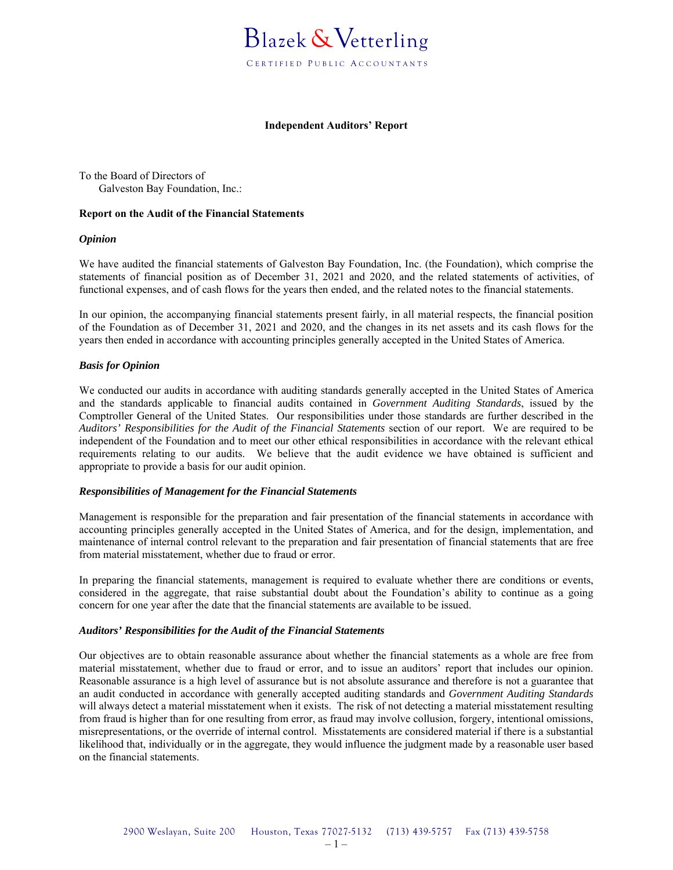#### **Independent Auditors' Report**

To the Board of Directors of Galveston Bay Foundation, Inc.:

#### **Report on the Audit of the Financial Statements**

#### *Opinion*

We have audited the financial statements of Galveston Bay Foundation, Inc. (the Foundation), which comprise the statements of financial position as of December 31, 2021 and 2020, and the related statements of activities, of functional expenses, and of cash flows for the years then ended, and the related notes to the financial statements.

In our opinion, the accompanying financial statements present fairly, in all material respects, the financial position of the Foundation as of December 31, 2021 and 2020, and the changes in its net assets and its cash flows for the years then ended in accordance with accounting principles generally accepted in the United States of America.

#### *Basis for Opinion*

We conducted our audits in accordance with auditing standards generally accepted in the United States of America and the standards applicable to financial audits contained in *Government Auditing Standards*, issued by the Comptroller General of the United States. Our responsibilities under those standards are further described in the *Auditors' Responsibilities for the Audit of the Financial Statements* section of our report. We are required to be independent of the Foundation and to meet our other ethical responsibilities in accordance with the relevant ethical requirements relating to our audits. We believe that the audit evidence we have obtained is sufficient and appropriate to provide a basis for our audit opinion.

#### *Responsibilities of Management for the Financial Statements*

Management is responsible for the preparation and fair presentation of the financial statements in accordance with accounting principles generally accepted in the United States of America, and for the design, implementation, and maintenance of internal control relevant to the preparation and fair presentation of financial statements that are free from material misstatement, whether due to fraud or error.

In preparing the financial statements, management is required to evaluate whether there are conditions or events, considered in the aggregate, that raise substantial doubt about the Foundation's ability to continue as a going concern for one year after the date that the financial statements are available to be issued.

### *Auditors' Responsibilities for the Audit of the Financial Statements*

Our objectives are to obtain reasonable assurance about whether the financial statements as a whole are free from material misstatement, whether due to fraud or error, and to issue an auditors' report that includes our opinion. Reasonable assurance is a high level of assurance but is not absolute assurance and therefore is not a guarantee that an audit conducted in accordance with generally accepted auditing standards and *Government Auditing Standards* will always detect a material misstatement when it exists. The risk of not detecting a material misstatement resulting from fraud is higher than for one resulting from error, as fraud may involve collusion, forgery, intentional omissions, misrepresentations, or the override of internal control. Misstatements are considered material if there is a substantial likelihood that, individually or in the aggregate, they would influence the judgment made by a reasonable user based on the financial statements.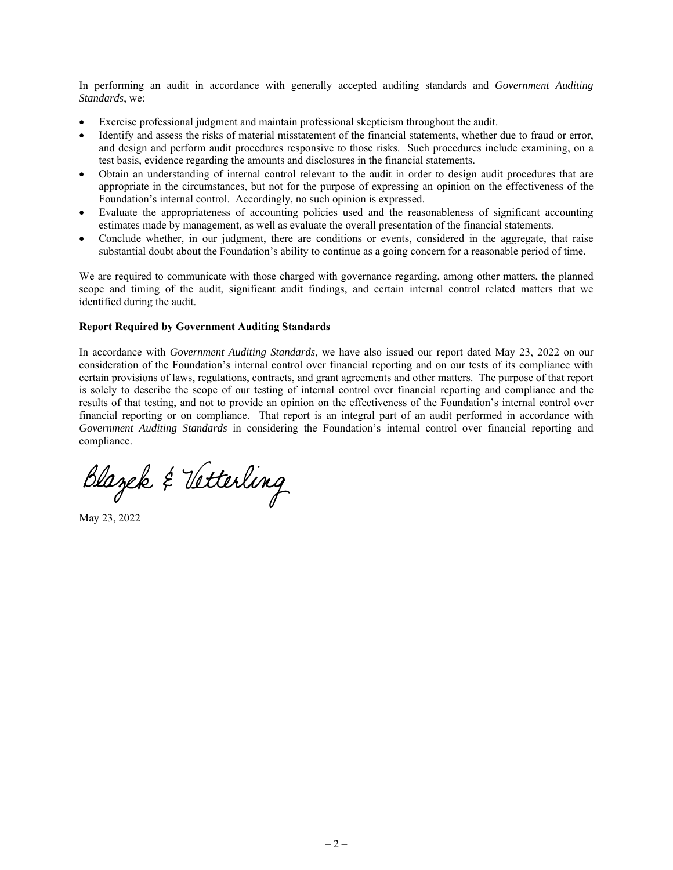In performing an audit in accordance with generally accepted auditing standards and *Government Auditing Standards*, we:

- Exercise professional judgment and maintain professional skepticism throughout the audit.
- Identify and assess the risks of material misstatement of the financial statements, whether due to fraud or error, and design and perform audit procedures responsive to those risks. Such procedures include examining, on a test basis, evidence regarding the amounts and disclosures in the financial statements.
- Obtain an understanding of internal control relevant to the audit in order to design audit procedures that are appropriate in the circumstances, but not for the purpose of expressing an opinion on the effectiveness of the Foundation's internal control. Accordingly, no such opinion is expressed.
- Evaluate the appropriateness of accounting policies used and the reasonableness of significant accounting estimates made by management, as well as evaluate the overall presentation of the financial statements.
- Conclude whether, in our judgment, there are conditions or events, considered in the aggregate, that raise substantial doubt about the Foundation's ability to continue as a going concern for a reasonable period of time.

We are required to communicate with those charged with governance regarding, among other matters, the planned scope and timing of the audit, significant audit findings, and certain internal control related matters that we identified during the audit.

### **Report Required by Government Auditing Standards**

In accordance with *Government Auditing Standards*, we have also issued our report dated May 23, 2022 on our consideration of the Foundation's internal control over financial reporting and on our tests of its compliance with certain provisions of laws, regulations, contracts, and grant agreements and other matters. The purpose of that report is solely to describe the scope of our testing of internal control over financial reporting and compliance and the results of that testing, and not to provide an opinion on the effectiveness of the Foundation's internal control over financial reporting or on compliance. That report is an integral part of an audit performed in accordance with *Government Auditing Standards* in considering the Foundation's internal control over financial reporting and compliance.

Blazek & Vetterling

May 23, 2022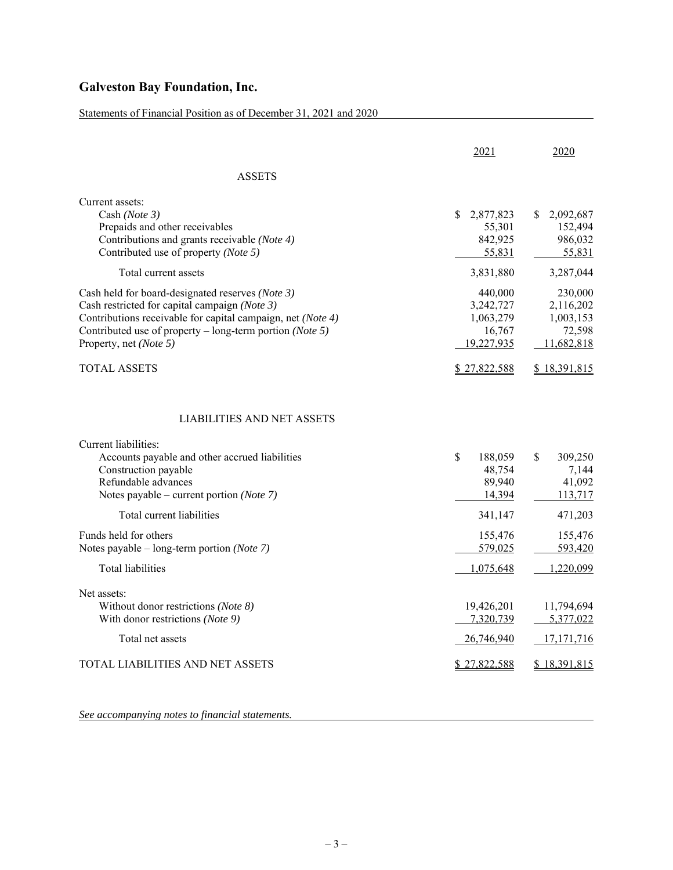Statements of Financial Position as of December 31, 2021 and 2020

|                                                                                                                                                                                                                                                        | 2021                                                      | 2020                                                      |
|--------------------------------------------------------------------------------------------------------------------------------------------------------------------------------------------------------------------------------------------------------|-----------------------------------------------------------|-----------------------------------------------------------|
| <b>ASSETS</b>                                                                                                                                                                                                                                          |                                                           |                                                           |
| Current assets:<br>Cash (Note 3)<br>Prepaids and other receivables<br>Contributions and grants receivable (Note 4)<br>Contributed use of property (Note 5)                                                                                             | \$<br>2,877,823<br>55,301<br>842,925<br>55,831            | 2,092,687<br>S.<br>152,494<br>986,032<br>55,831           |
| Total current assets                                                                                                                                                                                                                                   | 3,831,880                                                 | 3,287,044                                                 |
| Cash held for board-designated reserves (Note 3)<br>Cash restricted for capital campaign (Note 3)<br>Contributions receivable for capital campaign, net (Note 4)<br>Contributed use of property – long-term portion (Note 5)<br>Property, net (Note 5) | 440,000<br>3,242,727<br>1,063,279<br>16,767<br>19,227,935 | 230,000<br>2,116,202<br>1,003,153<br>72,598<br>11,682,818 |
| <b>TOTAL ASSETS</b>                                                                                                                                                                                                                                    | \$27,822,588                                              | \$18,391,815                                              |
| LIABILITIES AND NET ASSETS<br>Current liabilities:<br>Accounts payable and other accrued liabilities<br>Construction payable<br>Refundable advances<br>Notes payable – current portion ( <i>Note</i> 7)                                                | \$<br>188,059<br>48,754<br>89,940<br>14,394               | \$<br>309,250<br>7,144<br>41,092<br>113,717               |
| Total current liabilities<br>Funds held for others<br>Notes payable – long-term portion ( <i>Note</i> 7)                                                                                                                                               | 341,147<br>155,476                                        | 471,203<br>155,476                                        |
| Total liabilities                                                                                                                                                                                                                                      | 579,025<br>1,075,648                                      | 593,420<br>1,220,099                                      |
| Net assets:<br>Without donor restrictions (Note 8)<br>With donor restrictions (Note 9)<br>Total net assets                                                                                                                                             | 19,426,201<br>7,320,739<br>26,746,940                     | 11,794,694<br>5,377,022<br><u>17,171,716</u>              |
| TOTAL LIABILITIES AND NET ASSETS                                                                                                                                                                                                                       | \$27,822,588                                              | \$18,391,815                                              |
|                                                                                                                                                                                                                                                        |                                                           |                                                           |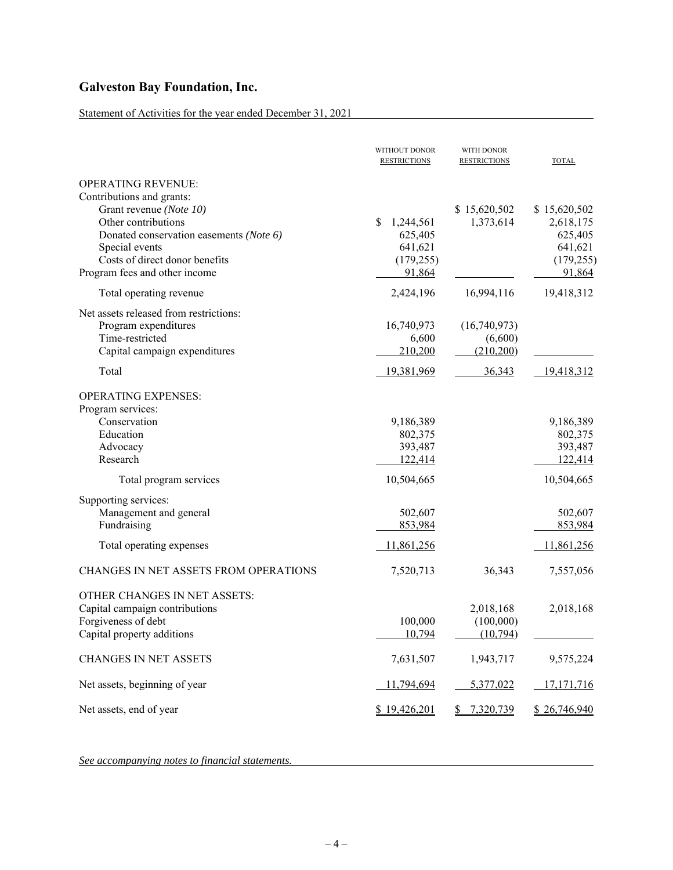Statement of Activities for the year ended December 31, 2021

|                                                        | WITHOUT DONOR<br><b>RESTRICTIONS</b> | WITH DONOR<br><b>RESTRICTIONS</b> | <b>TOTAL</b>          |
|--------------------------------------------------------|--------------------------------------|-----------------------------------|-----------------------|
| <b>OPERATING REVENUE:</b><br>Contributions and grants: |                                      |                                   |                       |
| Grant revenue (Note 10)                                |                                      | \$15,620,502                      | \$15,620,502          |
| Other contributions                                    | S<br>1,244,561                       | 1,373,614                         | 2,618,175             |
| Donated conservation easements (Note 6)                | 625,405<br>641,621                   |                                   | 625,405               |
| Special events<br>Costs of direct donor benefits       | (179, 255)                           |                                   | 641,621<br>(179, 255) |
| Program fees and other income                          | 91,864                               |                                   | 91,864                |
| Total operating revenue                                | 2,424,196                            | 16,994,116                        | 19,418,312            |
| Net assets released from restrictions:                 |                                      |                                   |                       |
| Program expenditures                                   | 16,740,973                           | (16,740,973)                      |                       |
| Time-restricted                                        | 6,600                                | (6,600)                           |                       |
| Capital campaign expenditures                          | 210,200                              | (210,200)                         |                       |
| Total                                                  | 19,381,969                           | 36,343                            | 19,418,312            |
| <b>OPERATING EXPENSES:</b>                             |                                      |                                   |                       |
| Program services:                                      |                                      |                                   |                       |
| Conservation<br>Education                              | 9,186,389<br>802,375                 |                                   | 9,186,389<br>802,375  |
| Advocacy                                               | 393,487                              |                                   | 393,487               |
| Research                                               | 122,414                              |                                   | 122,414               |
| Total program services                                 | 10,504,665                           |                                   | 10,504,665            |
| Supporting services:                                   |                                      |                                   |                       |
| Management and general                                 | 502,607                              |                                   | 502,607               |
| Fundraising                                            | 853,984                              |                                   | 853,984               |
| Total operating expenses                               | 11,861,256                           |                                   | 11,861,256            |
| CHANGES IN NET ASSETS FROM OPERATIONS                  | 7,520,713                            | 36,343                            | 7,557,056             |
| OTHER CHANGES IN NET ASSETS:                           |                                      |                                   |                       |
| Capital campaign contributions                         |                                      | 2,018,168                         | 2,018,168             |
| Forgiveness of debt                                    | 100,000                              | (100,000)                         |                       |
| Capital property additions                             | 10,794                               | (10, 794)                         |                       |
| <b>CHANGES IN NET ASSETS</b>                           | 7,631,507                            | 1,943,717                         | 9,575,224             |
| Net assets, beginning of year                          | 11,794,694                           | 5,377,022                         | <u>17,171,716</u>     |
| Net assets, end of year                                | \$19,426,201                         | 7,320,739                         | \$26,746,940          |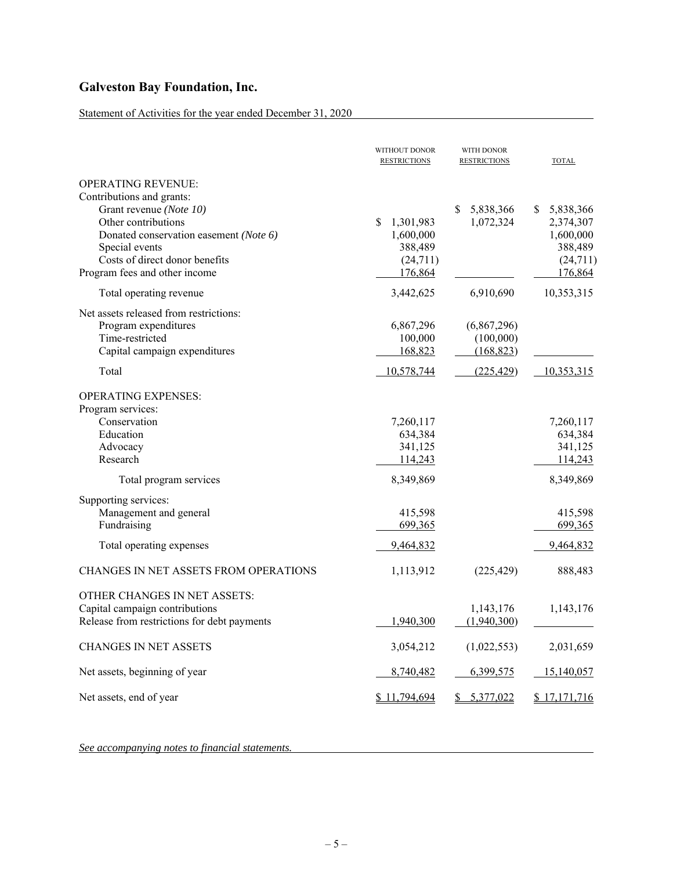# Statement of Activities for the year ended December 31, 2020

|                                                                                                                                                                                                                                         | WITHOUT DONOR<br><b>RESTRICTIONS</b>                           | WITH DONOR<br><b>RESTRICTIONS</b>      | <b>TOTAL</b>                                                                |
|-----------------------------------------------------------------------------------------------------------------------------------------------------------------------------------------------------------------------------------------|----------------------------------------------------------------|----------------------------------------|-----------------------------------------------------------------------------|
| <b>OPERATING REVENUE:</b><br>Contributions and grants:<br>Grant revenue (Note 10)<br>Other contributions<br>Donated conservation easement (Note 6)<br>Special events<br>Costs of direct donor benefits<br>Program fees and other income | \$<br>1,301,983<br>1,600,000<br>388,489<br>(24,711)<br>176,864 | \$<br>5,838,366<br>1,072,324           | \$<br>5,838,366<br>2,374,307<br>1,600,000<br>388,489<br>(24,711)<br>176,864 |
| Total operating revenue                                                                                                                                                                                                                 | 3,442,625                                                      | 6,910,690                              | 10,353,315                                                                  |
| Net assets released from restrictions:<br>Program expenditures<br>Time-restricted<br>Capital campaign expenditures                                                                                                                      | 6,867,296<br>100,000<br>168,823                                | (6,867,296)<br>(100,000)<br>(168, 823) |                                                                             |
| Total                                                                                                                                                                                                                                   | 10,578,744                                                     | (225, 429)                             | 10,353,315                                                                  |
| <b>OPERATING EXPENSES:</b><br>Program services:<br>Conservation<br>Education                                                                                                                                                            | 7,260,117<br>634,384                                           |                                        | 7,260,117<br>634,384                                                        |
| Advocacy<br>Research                                                                                                                                                                                                                    | 341,125<br>114,243                                             |                                        | 341,125<br>114,243                                                          |
| Total program services                                                                                                                                                                                                                  | 8,349,869                                                      |                                        | 8,349,869                                                                   |
| Supporting services:<br>Management and general<br>Fundraising                                                                                                                                                                           | 415,598<br>699,365                                             |                                        | 415,598<br>699,365                                                          |
| Total operating expenses                                                                                                                                                                                                                | 9,464,832                                                      |                                        | 9,464,832                                                                   |
| <b>CHANGES IN NET ASSETS FROM OPERATIONS</b>                                                                                                                                                                                            | 1,113,912                                                      | (225, 429)                             | 888,483                                                                     |
| OTHER CHANGES IN NET ASSETS:<br>Capital campaign contributions<br>Release from restrictions for debt payments                                                                                                                           | 1,940,300                                                      | 1,143,176<br>(1,940,300)               | 1,143,176                                                                   |
| <b>CHANGES IN NET ASSETS</b>                                                                                                                                                                                                            | 3,054,212                                                      | (1,022,553)                            | 2,031,659                                                                   |
| Net assets, beginning of year                                                                                                                                                                                                           | 8,740,482                                                      | 6,399,575                              | 15,140,057                                                                  |
| Net assets, end of year                                                                                                                                                                                                                 | \$11,794,694                                                   | \$5,377,022                            | \$17,171,716                                                                |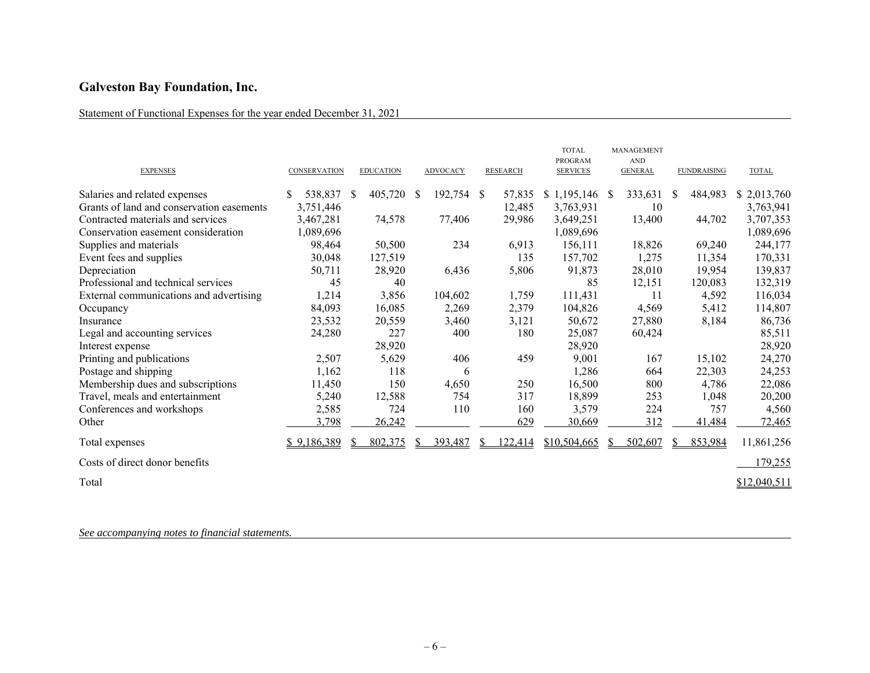## Statement of Functional Expenses for the year ended December 31, 2021

| <b>EXPENSES</b>                           | CONSERVATION |    | <b>EDUCATION</b> |    | <b>ADVOCACY</b> |               | <b>RESEARCH</b> | <b>TOTAL</b><br><b>PROGRAM</b><br><b>SERVICES</b> |    | MANAGEMENT<br><b>AND</b><br><b>GENERAL</b> |     | <b>FUNDRAISING</b> | <b>TOTAL</b> |
|-------------------------------------------|--------------|----|------------------|----|-----------------|---------------|-----------------|---------------------------------------------------|----|--------------------------------------------|-----|--------------------|--------------|
| Salaries and related expenses             | 538,837      | -S | 405,720          | -S | 192,754         | <sup>\$</sup> | 57,835          |                                                   |    | 333,631                                    | \$. | 484,983            | \$2,013,760  |
| Grants of land and conservation easements | 3,751,446    |    |                  |    |                 |               | 12,485          | 3,763,931                                         |    | 10                                         |     |                    | 3,763,941    |
| Contracted materials and services         | 3,467,281    |    | 74,578           |    | 77,406          |               | 29,986          | 3,649,251                                         |    | 13,400                                     |     | 44,702             | 3,707,353    |
| Conservation easement consideration       | 1,089,696    |    |                  |    |                 |               |                 | 1,089,696                                         |    |                                            |     |                    | 1,089,696    |
| Supplies and materials                    | 98,464       |    | 50,500           |    | 234             |               | 6,913           | 156,111                                           |    | 18,826                                     |     | 69,240             | 244,177      |
| Event fees and supplies                   | 30,048       |    | 127,519          |    |                 |               | 135             | 157,702                                           |    | 1,275                                      |     | 11,354             | 170,331      |
| Depreciation                              | 50,711       |    | 28,920           |    | 6,436           |               | 5,806           | 91,873                                            |    | 28,010                                     |     | 19,954             | 139,837      |
| Professional and technical services       | 45           |    | 40               |    |                 |               |                 | 85                                                |    | 12,151                                     |     | 120,083            | 132,319      |
| External communications and advertising   | 1,214        |    | 3,856            |    | 104,602         |               | 1,759           | 111,431                                           |    | 11                                         |     | 4,592              | 116,034      |
| Occupancy                                 | 84,093       |    | 16,085           |    | 2,269           |               | 2,379           | 104,826                                           |    | 4,569                                      |     | 5,412              | 114,807      |
| Insurance                                 | 23,532       |    | 20,559           |    | 3,460           |               | 3,121           | 50,672                                            |    | 27,880                                     |     | 8,184              | 86,736       |
| Legal and accounting services             | 24,280       |    | 227              |    | 400             |               | 180             | 25,087                                            |    | 60,424                                     |     |                    | 85,511       |
| Interest expense                          |              |    | 28,920           |    |                 |               |                 | 28,920                                            |    |                                            |     |                    | 28,920       |
| Printing and publications                 | 2,507        |    | 5,629            |    | 406             |               | 459             | 9,001                                             |    | 167                                        |     | 15,102             | 24,270       |
| Postage and shipping                      | 1,162        |    | 118              |    | 6               |               |                 | 1,286                                             |    | 664                                        |     | 22,303             | 24,253       |
| Membership dues and subscriptions         | 11,450       |    | 150              |    | 4,650           |               | 250             | 16,500                                            |    | 800                                        |     | 4,786              | 22,086       |
| Travel, meals and entertainment           | 5,240        |    | 12,588           |    | 754             |               | 317             | 18,899                                            |    | 253                                        |     | 1,048              | 20,200       |
| Conferences and workshops                 | 2,585        |    | 724              |    | 110             |               | 160             | 3,579                                             |    | 224                                        |     | 757                | 4,560        |
| Other                                     | 3,798        |    | 26,242           |    |                 |               | 629             | 30,669                                            |    | 312                                        |     | 41,484             | 72,465       |
| Total expenses                            | \$9,186,389  |    | 802,375          |    | 393,487         | S             | 122,414         | \$10,504,665                                      | S. | 502,607                                    |     | 853,984            | 11,861,256   |
| Costs of direct donor benefits            |              |    |                  |    |                 |               |                 |                                                   |    |                                            |     |                    | 179,255      |
| Total                                     |              |    |                  |    |                 |               |                 |                                                   |    |                                            |     |                    | \$12,040,511 |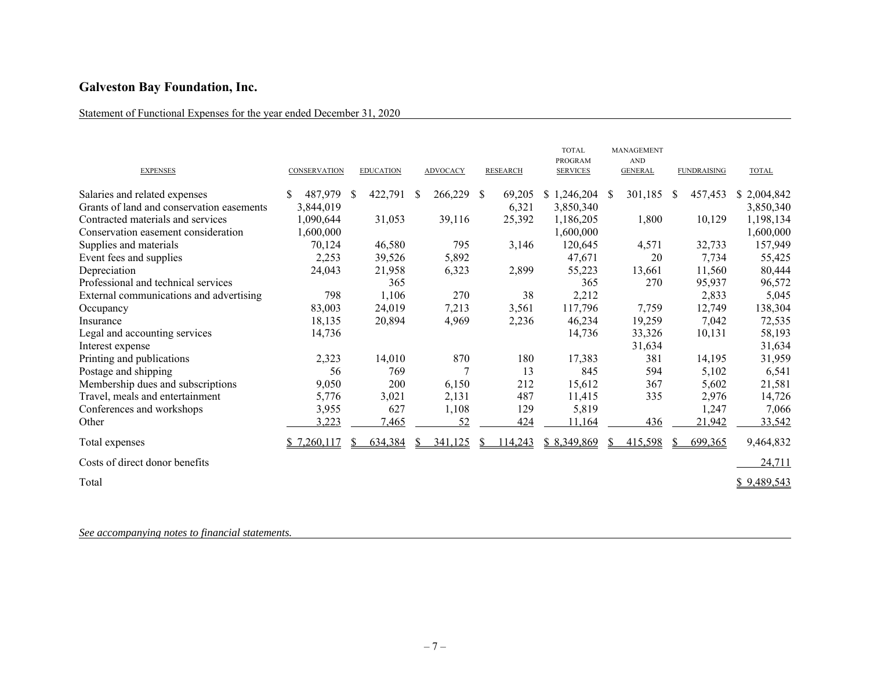## Statement of Functional Expenses for the year ended December 31, 2020

| <b>EXPENSES</b>                           | CONSERVATION | <b>EDUCATION</b> |     | <b>ADVOCACY</b> |              | <b>RESEARCH</b> | <b>TOTAL</b><br><b>PROGRAM</b><br><b>SERVICES</b> |    | MANAGEMENT<br><b>AND</b><br><b>GENERAL</b> |   | <b>FUNDRAISING</b> | <b>TOTAL</b> |
|-------------------------------------------|--------------|------------------|-----|-----------------|--------------|-----------------|---------------------------------------------------|----|--------------------------------------------|---|--------------------|--------------|
| Salaries and related expenses             | 487,979      | 422,791<br>-S    |     | 266,229<br>S    | <sup>S</sup> | 69,205          | \$1,246,204                                       | -S | 301,185                                    | S | 457,453            | \$2,004,842  |
| Grants of land and conservation easements | 3,844,019    |                  |     |                 |              | 6,321           | 3,850,340                                         |    |                                            |   |                    | 3,850,340    |
| Contracted materials and services         | 1,090,644    | 31,053           |     | 39,116          |              | 25,392          | 1,186,205                                         |    | 1,800                                      |   | 10,129             | 1,198,134    |
| Conservation easement consideration       | 1,600,000    |                  |     |                 |              |                 | 1,600,000                                         |    |                                            |   |                    | 1,600,000    |
| Supplies and materials                    | 70,124       | 46,580           |     | 795             |              | 3,146           | 120,645                                           |    | 4,571                                      |   | 32,733             | 157,949      |
| Event fees and supplies                   | 2,253        | 39,526           |     | 5,892           |              |                 | 47,671                                            |    | 20                                         |   | 7,734              | 55,425       |
| Depreciation                              | 24,043       | 21,958           |     | 6,323           |              | 2,899           | 55,223                                            |    | 13,661                                     |   | 11,560             | 80,444       |
| Professional and technical services       |              |                  | 365 |                 |              |                 | 365                                               |    | 270                                        |   | 95,937             | 96,572       |
| External communications and advertising   | 798          | 1,106            |     | 270             |              | 38              | 2,212                                             |    |                                            |   | 2,833              | 5,045        |
| Occupancy                                 | 83,003       | 24,019           |     | 7,213           |              | 3,561           | 117,796                                           |    | 7,759                                      |   | 12,749             | 138,304      |
| Insurance                                 | 18,135       | 20,894           |     | 4,969           |              | 2,236           | 46,234                                            |    | 19,259                                     |   | 7,042              | 72,535       |
| Legal and accounting services             | 14,736       |                  |     |                 |              |                 | 14,736                                            |    | 33,326                                     |   | 10,131             | 58,193       |
| Interest expense                          |              |                  |     |                 |              |                 |                                                   |    | 31,634                                     |   |                    | 31,634       |
| Printing and publications                 | 2,323        | 14,010           |     | 870             |              | 180             | 17,383                                            |    | 381                                        |   | 14,195             | 31,959       |
| Postage and shipping                      | 56           |                  | 769 |                 |              | 13              | 845                                               |    | 594                                        |   | 5,102              | 6,541        |
| Membership dues and subscriptions         | 9,050        |                  | 200 | 6,150           |              | 212             | 15,612                                            |    | 367                                        |   | 5,602              | 21,581       |
| Travel, meals and entertainment           | 5,776        | 3,021            |     | 2,131           |              | 487             | 11,415                                            |    | 335                                        |   | 2,976              | 14,726       |
| Conferences and workshops                 | 3,955        |                  | 627 | 1,108           |              | 129             | 5,819                                             |    |                                            |   | 1,247              | 7,066        |
| Other                                     | 3,223        | 7,465            |     | 52              |              | 424             | 11,164                                            |    | 436                                        |   | 21,942             | 33,542       |
| Total expenses                            | \$7,260,117  | 634,384          |     | 341,125         |              | 114,243         | \$8,349,869                                       |    | 415,598                                    |   | 699,365            | 9,464,832    |
| Costs of direct donor benefits            |              |                  |     |                 |              |                 |                                                   |    |                                            |   |                    | 24,711       |
| Total                                     |              |                  |     |                 |              |                 |                                                   |    |                                            |   |                    | \$9,489,543  |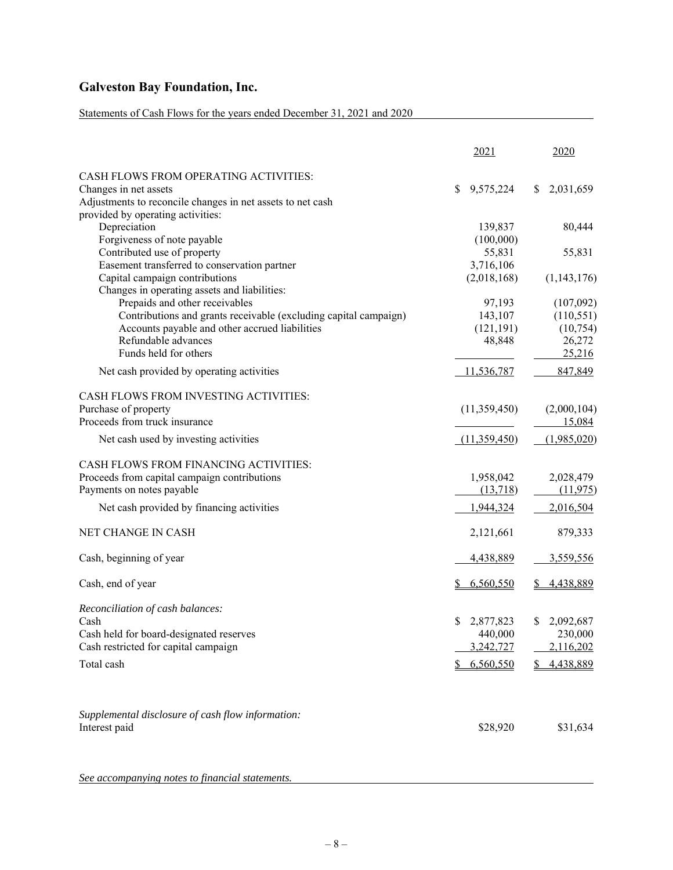## Statements of Cash Flows for the years ended December 31, 2021 and 2020

|                                                                                                                                                                                                      | 2021                                                 | 2020                                                    |
|------------------------------------------------------------------------------------------------------------------------------------------------------------------------------------------------------|------------------------------------------------------|---------------------------------------------------------|
| CASH FLOWS FROM OPERATING ACTIVITIES:<br>Changes in net assets                                                                                                                                       | \$<br>9,575,224                                      | 2,031,659<br>\$                                         |
| Adjustments to reconcile changes in net assets to net cash<br>provided by operating activities:<br>Depreciation                                                                                      | 139,837                                              | 80,444                                                  |
| Forgiveness of note payable<br>Contributed use of property<br>Easement transferred to conservation partner                                                                                           | (100,000)<br>55,831<br>3,716,106                     | 55,831                                                  |
| Capital campaign contributions<br>Changes in operating assets and liabilities:                                                                                                                       | (2,018,168)                                          | (1,143,176)                                             |
| Prepaids and other receivables<br>Contributions and grants receivable (excluding capital campaign)<br>Accounts payable and other accrued liabilities<br>Refundable advances<br>Funds held for others | 97,193<br>143,107<br>(121, 191)<br>48,848            | (107,092)<br>(110, 551)<br>(10,754)<br>26,272<br>25,216 |
| Net cash provided by operating activities                                                                                                                                                            | 11,536,787                                           | 847,849                                                 |
| CASH FLOWS FROM INVESTING ACTIVITIES:<br>Purchase of property<br>Proceeds from truck insurance                                                                                                       | (11,359,450)                                         | (2,000,104)<br>15,084                                   |
| Net cash used by investing activities                                                                                                                                                                | (11,359,450)                                         | (1,985,020)                                             |
| CASH FLOWS FROM FINANCING ACTIVITIES:<br>Proceeds from capital campaign contributions<br>Payments on notes payable                                                                                   | 1,958,042<br>(13,718)                                | 2,028,479<br>(11, 975)                                  |
| Net cash provided by financing activities                                                                                                                                                            | 1,944,324                                            | 2,016,504                                               |
| NET CHANGE IN CASH                                                                                                                                                                                   | 2,121,661                                            | 879,333                                                 |
| Cash, beginning of year                                                                                                                                                                              | 4,438,889                                            | 3,559,556                                               |
| Cash, end of year                                                                                                                                                                                    | 6,560,550                                            | 4,438,889                                               |
| Reconciliation of cash balances:<br>Cash<br>Cash held for board-designated reserves<br>Cash restricted for capital campaign<br>Total cash                                                            | 2,877,823<br>\$<br>440,000<br>3,242,727<br>6,560,550 | 2,092,687<br>S.<br>230,000<br>2,116,202<br>4,438,889    |
| Supplemental disclosure of cash flow information:<br>Interest paid                                                                                                                                   | \$28,920                                             | \$31,634                                                |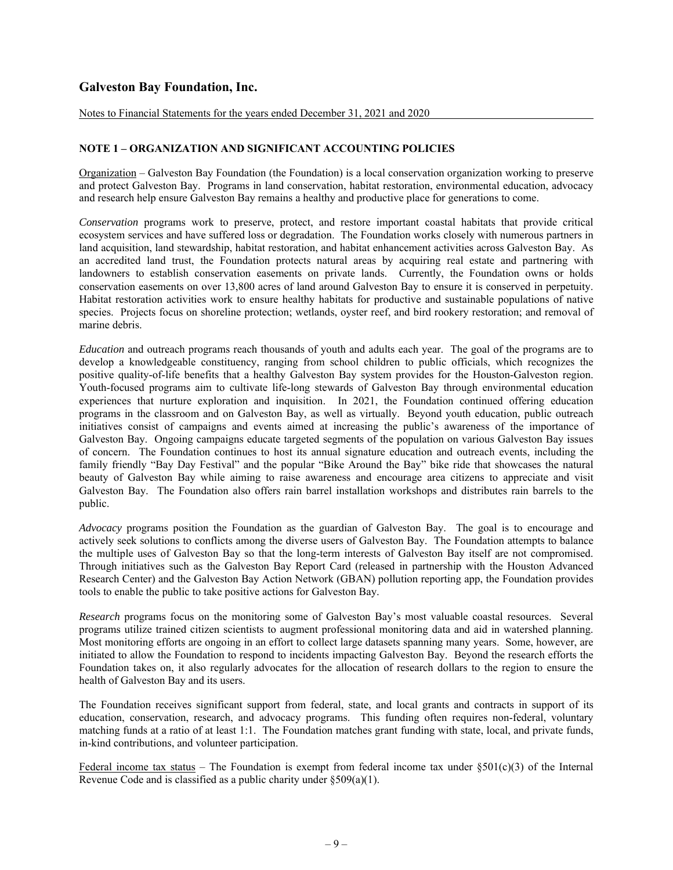Notes to Financial Statements for the years ended December 31, 2021 and 2020

### **NOTE 1 – ORGANIZATION AND SIGNIFICANT ACCOUNTING POLICIES**

Organization – Galveston Bay Foundation (the Foundation) is a local conservation organization working to preserve and protect Galveston Bay. Programs in land conservation, habitat restoration, environmental education, advocacy and research help ensure Galveston Bay remains a healthy and productive place for generations to come.

*Conservation* programs work to preserve, protect, and restore important coastal habitats that provide critical ecosystem services and have suffered loss or degradation. The Foundation works closely with numerous partners in land acquisition, land stewardship, habitat restoration, and habitat enhancement activities across Galveston Bay. As an accredited land trust, the Foundation protects natural areas by acquiring real estate and partnering with landowners to establish conservation easements on private lands. Currently, the Foundation owns or holds conservation easements on over 13,800 acres of land around Galveston Bay to ensure it is conserved in perpetuity. Habitat restoration activities work to ensure healthy habitats for productive and sustainable populations of native species. Projects focus on shoreline protection; wetlands, oyster reef, and bird rookery restoration; and removal of marine debris.

*Education* and outreach programs reach thousands of youth and adults each year. The goal of the programs are to develop a knowledgeable constituency, ranging from school children to public officials, which recognizes the positive quality-of-life benefits that a healthy Galveston Bay system provides for the Houston-Galveston region. Youth-focused programs aim to cultivate life-long stewards of Galveston Bay through environmental education experiences that nurture exploration and inquisition. In 2021, the Foundation continued offering education programs in the classroom and on Galveston Bay, as well as virtually. Beyond youth education, public outreach initiatives consist of campaigns and events aimed at increasing the public's awareness of the importance of Galveston Bay. Ongoing campaigns educate targeted segments of the population on various Galveston Bay issues of concern. The Foundation continues to host its annual signature education and outreach events, including the family friendly "Bay Day Festival" and the popular "Bike Around the Bay" bike ride that showcases the natural beauty of Galveston Bay while aiming to raise awareness and encourage area citizens to appreciate and visit Galveston Bay. The Foundation also offers rain barrel installation workshops and distributes rain barrels to the public.

*Advocacy* programs position the Foundation as the guardian of Galveston Bay. The goal is to encourage and actively seek solutions to conflicts among the diverse users of Galveston Bay. The Foundation attempts to balance the multiple uses of Galveston Bay so that the long-term interests of Galveston Bay itself are not compromised. Through initiatives such as the Galveston Bay Report Card (released in partnership with the Houston Advanced Research Center) and the Galveston Bay Action Network (GBAN) pollution reporting app, the Foundation provides tools to enable the public to take positive actions for Galveston Bay.

*Research* programs focus on the monitoring some of Galveston Bay's most valuable coastal resources. Several programs utilize trained citizen scientists to augment professional monitoring data and aid in watershed planning. Most monitoring efforts are ongoing in an effort to collect large datasets spanning many years. Some, however, are initiated to allow the Foundation to respond to incidents impacting Galveston Bay. Beyond the research efforts the Foundation takes on, it also regularly advocates for the allocation of research dollars to the region to ensure the health of Galveston Bay and its users.

The Foundation receives significant support from federal, state, and local grants and contracts in support of its education, conservation, research, and advocacy programs. This funding often requires non-federal, voluntary matching funds at a ratio of at least 1:1. The Foundation matches grant funding with state, local, and private funds, in-kind contributions, and volunteer participation.

Federal income tax status – The Foundation is exempt from federal income tax under  $\S501(c)(3)$  of the Internal Revenue Code and is classified as a public charity under  $\S509(a)(1)$ .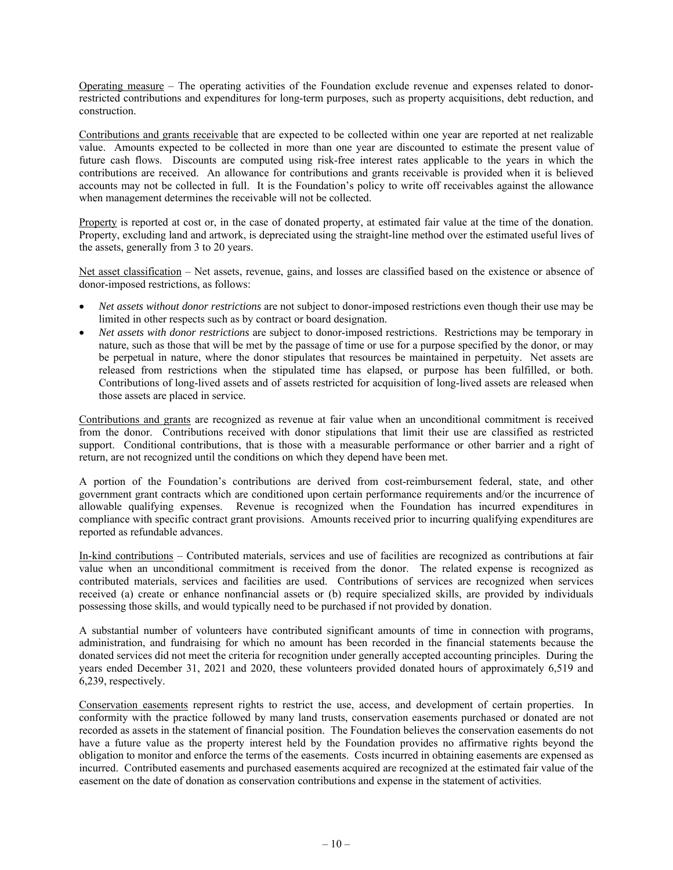Operating measure – The operating activities of the Foundation exclude revenue and expenses related to donorrestricted contributions and expenditures for long-term purposes, such as property acquisitions, debt reduction, and construction.

Contributions and grants receivable that are expected to be collected within one year are reported at net realizable value. Amounts expected to be collected in more than one year are discounted to estimate the present value of future cash flows. Discounts are computed using risk-free interest rates applicable to the years in which the contributions are received. An allowance for contributions and grants receivable is provided when it is believed accounts may not be collected in full. It is the Foundation's policy to write off receivables against the allowance when management determines the receivable will not be collected.

Property is reported at cost or, in the case of donated property, at estimated fair value at the time of the donation. Property, excluding land and artwork, is depreciated using the straight-line method over the estimated useful lives of the assets, generally from 3 to 20 years.

Net asset classification – Net assets, revenue, gains, and losses are classified based on the existence or absence of donor-imposed restrictions, as follows:

- *Net assets without donor restrictions* are not subject to donor-imposed restrictions even though their use may be limited in other respects such as by contract or board designation.
- *Net assets with donor restrictions* are subject to donor-imposed restrictions. Restrictions may be temporary in nature, such as those that will be met by the passage of time or use for a purpose specified by the donor, or may be perpetual in nature, where the donor stipulates that resources be maintained in perpetuity. Net assets are released from restrictions when the stipulated time has elapsed, or purpose has been fulfilled, or both. Contributions of long-lived assets and of assets restricted for acquisition of long-lived assets are released when those assets are placed in service.

Contributions and grants are recognized as revenue at fair value when an unconditional commitment is received from the donor. Contributions received with donor stipulations that limit their use are classified as restricted support. Conditional contributions, that is those with a measurable performance or other barrier and a right of return, are not recognized until the conditions on which they depend have been met.

A portion of the Foundation's contributions are derived from cost-reimbursement federal, state, and other government grant contracts which are conditioned upon certain performance requirements and/or the incurrence of allowable qualifying expenses. Revenue is recognized when the Foundation has incurred expenditures in compliance with specific contract grant provisions. Amounts received prior to incurring qualifying expenditures are reported as refundable advances.

In-kind contributions – Contributed materials, services and use of facilities are recognized as contributions at fair value when an unconditional commitment is received from the donor. The related expense is recognized as contributed materials, services and facilities are used. Contributions of services are recognized when services received (a) create or enhance nonfinancial assets or (b) require specialized skills, are provided by individuals possessing those skills, and would typically need to be purchased if not provided by donation.

A substantial number of volunteers have contributed significant amounts of time in connection with programs, administration, and fundraising for which no amount has been recorded in the financial statements because the donated services did not meet the criteria for recognition under generally accepted accounting principles. During the years ended December 31, 2021 and 2020, these volunteers provided donated hours of approximately 6,519 and 6,239, respectively.

Conservation easements represent rights to restrict the use, access, and development of certain properties. In conformity with the practice followed by many land trusts, conservation easements purchased or donated are not recorded as assets in the statement of financial position. The Foundation believes the conservation easements do not have a future value as the property interest held by the Foundation provides no affirmative rights beyond the obligation to monitor and enforce the terms of the easements. Costs incurred in obtaining easements are expensed as incurred. Contributed easements and purchased easements acquired are recognized at the estimated fair value of the easement on the date of donation as conservation contributions and expense in the statement of activities.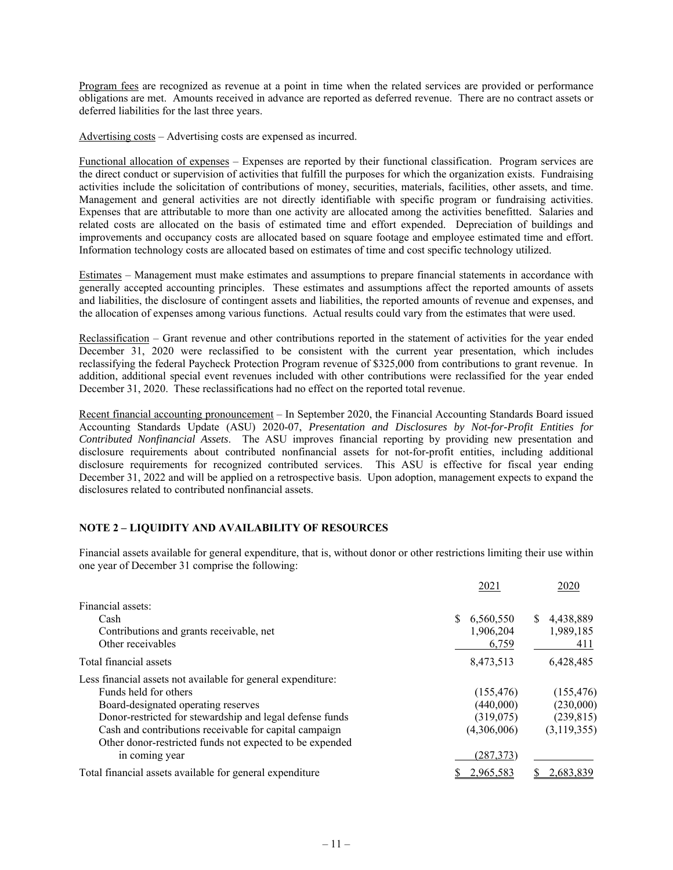Program fees are recognized as revenue at a point in time when the related services are provided or performance obligations are met. Amounts received in advance are reported as deferred revenue. There are no contract assets or deferred liabilities for the last three years.

Advertising costs – Advertising costs are expensed as incurred.

Functional allocation of expenses – Expenses are reported by their functional classification. Program services are the direct conduct or supervision of activities that fulfill the purposes for which the organization exists. Fundraising activities include the solicitation of contributions of money, securities, materials, facilities, other assets, and time. Management and general activities are not directly identifiable with specific program or fundraising activities. Expenses that are attributable to more than one activity are allocated among the activities benefitted. Salaries and related costs are allocated on the basis of estimated time and effort expended. Depreciation of buildings and improvements and occupancy costs are allocated based on square footage and employee estimated time and effort. Information technology costs are allocated based on estimates of time and cost specific technology utilized.

Estimates – Management must make estimates and assumptions to prepare financial statements in accordance with generally accepted accounting principles. These estimates and assumptions affect the reported amounts of assets and liabilities, the disclosure of contingent assets and liabilities, the reported amounts of revenue and expenses, and the allocation of expenses among various functions. Actual results could vary from the estimates that were used.

Reclassification – Grant revenue and other contributions reported in the statement of activities for the year ended December 31, 2020 were reclassified to be consistent with the current year presentation, which includes reclassifying the federal Paycheck Protection Program revenue of \$325,000 from contributions to grant revenue. In addition, additional special event revenues included with other contributions were reclassified for the year ended December 31, 2020. These reclassifications had no effect on the reported total revenue.

Recent financial accounting pronouncement – In September 2020, the Financial Accounting Standards Board issued Accounting Standards Update (ASU) 2020-07, *Presentation and Disclosures by Not-for-Profit Entities for Contributed Nonfinancial Assets*. The ASU improves financial reporting by providing new presentation and disclosure requirements about contributed nonfinancial assets for not-for-profit entities, including additional disclosure requirements for recognized contributed services. This ASU is effective for fiscal year ending December 31, 2022 and will be applied on a retrospective basis. Upon adoption, management expects to expand the disclosures related to contributed nonfinancial assets.

### **NOTE 2 – LIQUIDITY AND AVAILABILITY OF RESOURCES**

Financial assets available for general expenditure, that is, without donor or other restrictions limiting their use within one year of December 31 comprise the following:

|                                                              | 2021           | 2020            |
|--------------------------------------------------------------|----------------|-----------------|
| Financial assets:                                            |                |                 |
| Cash                                                         | S<br>6,560,550 | 4,438,889<br>S. |
| Contributions and grants receivable, net                     | 1.906.204      | 1,989,185       |
| Other receivables                                            | 6,759          | 411             |
| Total financial assets                                       | 8,473,513      | 6,428,485       |
| Less financial assets not available for general expenditure: |                |                 |
| Funds held for others                                        | (155, 476)     | (155, 476)      |
| Board-designated operating reserves                          | (440,000)      | (230,000)       |
| Donor-restricted for stewardship and legal defense funds     | (319,075)      | (239, 815)      |
| Cash and contributions receivable for capital campaign       | (4,306,006)    | (3,119,355)     |
| Other donor-restricted funds not expected to be expended     |                |                 |
| in coming year                                               | (287, 373)     |                 |
| Total financial assets available for general expenditure     | 2,965,583      | 2.683.839       |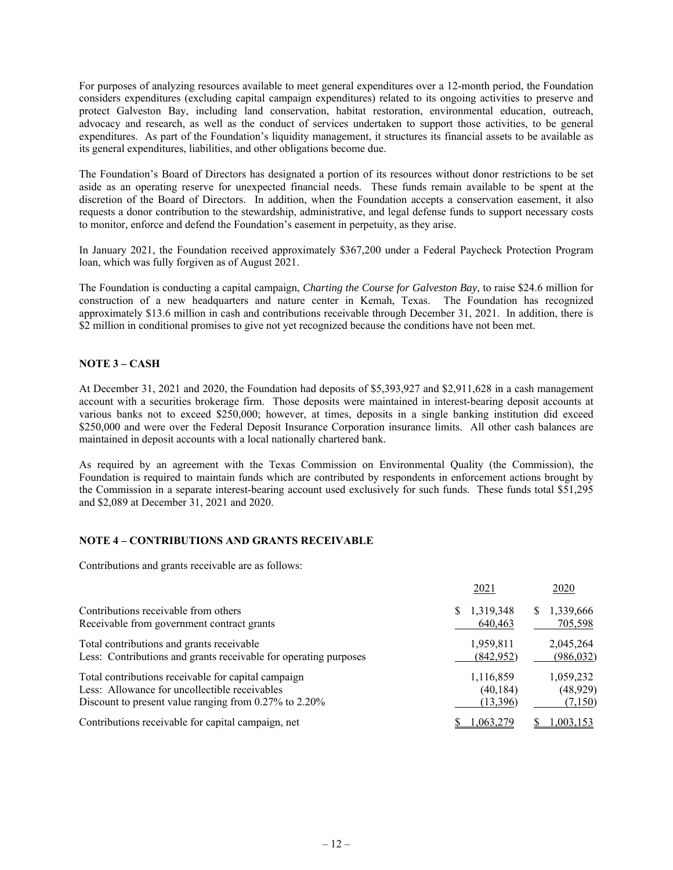For purposes of analyzing resources available to meet general expenditures over a 12-month period, the Foundation considers expenditures (excluding capital campaign expenditures) related to its ongoing activities to preserve and protect Galveston Bay, including land conservation, habitat restoration, environmental education, outreach, advocacy and research, as well as the conduct of services undertaken to support those activities, to be general expenditures. As part of the Foundation's liquidity management, it structures its financial assets to be available as its general expenditures, liabilities, and other obligations become due.

The Foundation's Board of Directors has designated a portion of its resources without donor restrictions to be set aside as an operating reserve for unexpected financial needs. These funds remain available to be spent at the discretion of the Board of Directors. In addition, when the Foundation accepts a conservation easement, it also requests a donor contribution to the stewardship, administrative, and legal defense funds to support necessary costs to monitor, enforce and defend the Foundation's easement in perpetuity, as they arise.

In January 2021, the Foundation received approximately \$367,200 under a Federal Paycheck Protection Program loan, which was fully forgiven as of August 2021.

The Foundation is conducting a capital campaign, *Charting the Course for Galveston Bay*, to raise \$24.6 million for construction of a new headquarters and nature center in Kemah, Texas. The Foundation has recognized approximately \$13.6 million in cash and contributions receivable through December 31, 2021. In addition, there is \$2 million in conditional promises to give not yet recognized because the conditions have not been met.

### **NOTE 3 – CASH**

At December 31, 2021 and 2020, the Foundation had deposits of \$5,393,927 and \$2,911,628 in a cash management account with a securities brokerage firm. Those deposits were maintained in interest-bearing deposit accounts at various banks not to exceed \$250,000; however, at times, deposits in a single banking institution did exceed \$250,000 and were over the Federal Deposit Insurance Corporation insurance limits. All other cash balances are maintained in deposit accounts with a local nationally chartered bank.

As required by an agreement with the Texas Commission on Environmental Quality (the Commission), the Foundation is required to maintain funds which are contributed by respondents in enforcement actions brought by the Commission in a separate interest-bearing account used exclusively for such funds. These funds total \$51,295 and \$2,089 at December 31, 2021 and 2020.

### **NOTE 4 – CONTRIBUTIONS AND GRANTS RECEIVABLE**

Contributions and grants receivable are as follows:

|                                                                                                                                                               | 2021                               | 2020                              |
|---------------------------------------------------------------------------------------------------------------------------------------------------------------|------------------------------------|-----------------------------------|
| Contributions receivable from others<br>Receivable from government contract grants                                                                            | 1,319,348<br>S<br>640,463          | 1,339,666<br>S<br>705,598         |
| Total contributions and grants receivable<br>Less: Contributions and grants receivable for operating purposes                                                 | 1,959,811<br>(842,952)             | 2,045,264<br>(986, 032)           |
| Total contributions receivable for capital campaign<br>Less: Allowance for uncollectible receivables<br>Discount to present value ranging from 0.27% to 2.20% | 1,116,859<br>(40, 184)<br>(13,396) | 1,059,232<br>(48, 929)<br>(7,150) |
| Contributions receivable for capital campaign, net                                                                                                            | 1.063.279                          | 1,003,153                         |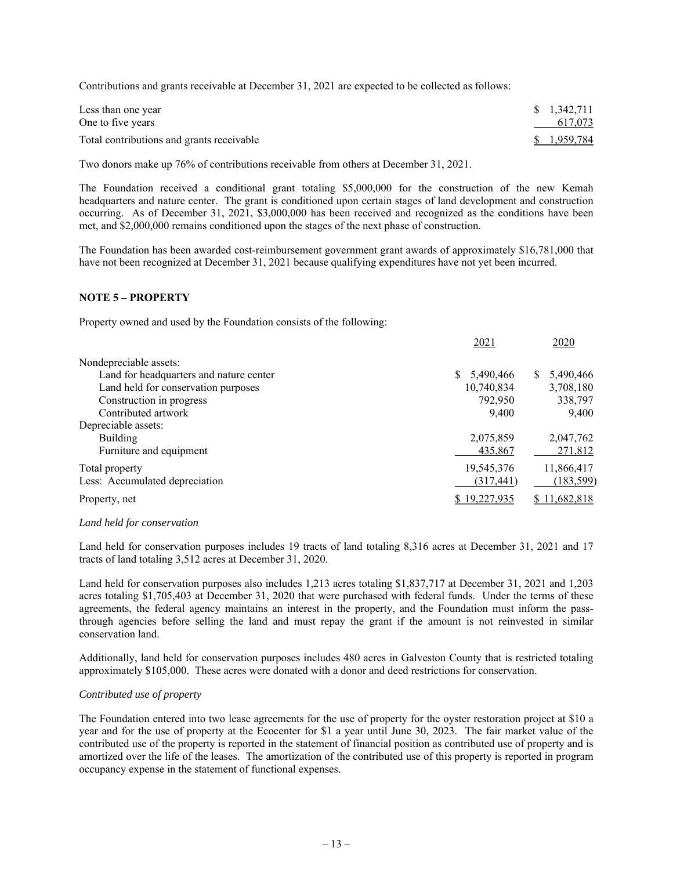Contributions and grants receivable at December 31, 2021 are expected to be collected as follows:

| Less than one year                        | \$ 1.342,711 |
|-------------------------------------------|--------------|
| One to five years                         | 617,073      |
| Total contributions and grants receivable | \$1.959.784  |

Two donors make up 76% of contributions receivable from others at December 31, 2021.

The Foundation received a conditional grant totaling \$5,000,000 for the construction of the new Kemah headquarters and nature center. The grant is conditioned upon certain stages of land development and construction occurring. As of December 31, 2021, \$3,000,000 has been received and recognized as the conditions have been met, and \$2,000,000 remains conditioned upon the stages of the next phase of construction.

The Foundation has been awarded cost-reimbursement government grant awards of approximately \$16,781,000 that have not been recognized at December 31, 2021 because qualifying expenditures have not yet been incurred.

### **NOTE 5 – PROPERTY**

Property owned and used by the Foundation consists of the following:

|                                               | 2021       | 2020            |
|-----------------------------------------------|------------|-----------------|
| Nondepreciable assets:                        |            |                 |
| Land for headquarters and nature center<br>S. | 5,490,466  | 5,490,466<br>S. |
| Land held for conservation purposes           | 10,740,834 | 3,708,180       |
| Construction in progress                      | 792,950    | 338,797         |
| Contributed artwork                           | 9,400      | 9,400           |
| Depreciable assets:                           |            |                 |
| <b>Building</b>                               | 2,075,859  | 2,047,762       |
| Furniture and equipment                       | 435,867    | 271,812         |
| Total property                                | 19,545,376 | 11,866,417      |
| Less: Accumulated depreciation                | (317, 441) | (183, 599)      |
| Property, net                                 | 19.227.935 | \$11,682,818    |

### *Land held for conservation*

Land held for conservation purposes includes 19 tracts of land totaling 8,316 acres at December 31, 2021 and 17 tracts of land totaling 3,512 acres at December 31, 2020.

Land held for conservation purposes also includes 1,213 acres totaling \$1,837,717 at December 31, 2021 and 1,203 acres totaling \$1,705,403 at December 31, 2020 that were purchased with federal funds. Under the terms of these agreements, the federal agency maintains an interest in the property, and the Foundation must inform the passthrough agencies before selling the land and must repay the grant if the amount is not reinvested in similar conservation land.

Additionally, land held for conservation purposes includes 480 acres in Galveston County that is restricted totaling approximately \$105,000. These acres were donated with a donor and deed restrictions for conservation.

### *Contributed use of property*

The Foundation entered into two lease agreements for the use of property for the oyster restoration project at \$10 a year and for the use of property at the Ecocenter for \$1 a year until June 30, 2023. The fair market value of the contributed use of the property is reported in the statement of financial position as contributed use of property and is amortized over the life of the leases. The amortization of the contributed use of this property is reported in program occupancy expense in the statement of functional expenses.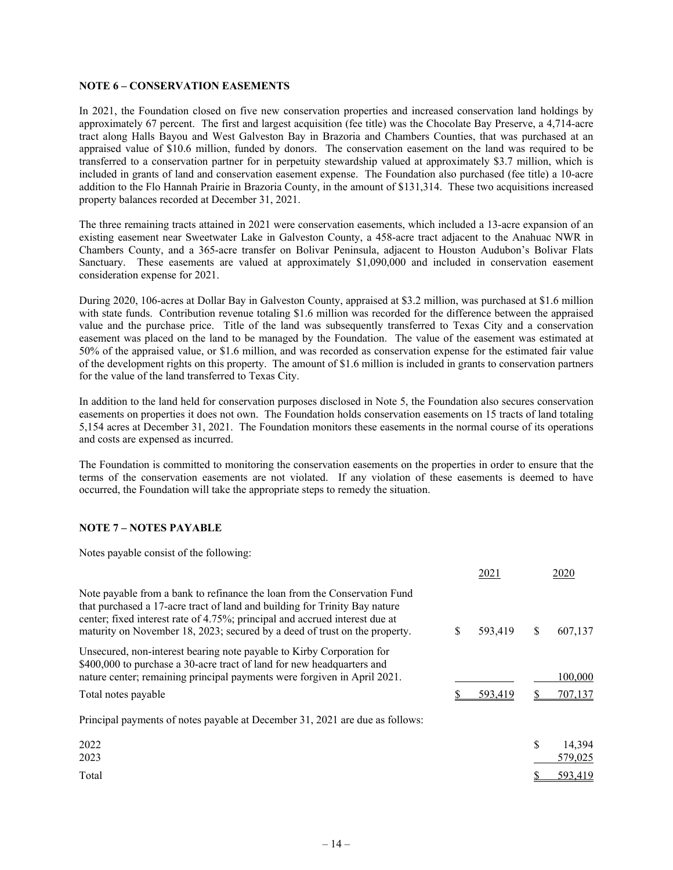### **NOTE 6 – CONSERVATION EASEMENTS**

In 2021, the Foundation closed on five new conservation properties and increased conservation land holdings by approximately 67 percent. The first and largest acquisition (fee title) was the Chocolate Bay Preserve, a 4,714-acre tract along Halls Bayou and West Galveston Bay in Brazoria and Chambers Counties, that was purchased at an appraised value of \$10.6 million, funded by donors. The conservation easement on the land was required to be transferred to a conservation partner for in perpetuity stewardship valued at approximately \$3.7 million, which is included in grants of land and conservation easement expense. The Foundation also purchased (fee title) a 10-acre addition to the Flo Hannah Prairie in Brazoria County, in the amount of \$131,314. These two acquisitions increased property balances recorded at December 31, 2021.

The three remaining tracts attained in 2021 were conservation easements, which included a 13-acre expansion of an existing easement near Sweetwater Lake in Galveston County, a 458-acre tract adjacent to the Anahuac NWR in Chambers County, and a 365-acre transfer on Bolivar Peninsula, adjacent to Houston Audubon's Bolivar Flats Sanctuary. These easements are valued at approximately \$1,090,000 and included in conservation easement consideration expense for 2021.

During 2020, 106-acres at Dollar Bay in Galveston County, appraised at \$3.2 million, was purchased at \$1.6 million with state funds. Contribution revenue totaling \$1.6 million was recorded for the difference between the appraised value and the purchase price. Title of the land was subsequently transferred to Texas City and a conservation easement was placed on the land to be managed by the Foundation. The value of the easement was estimated at 50% of the appraised value, or \$1.6 million, and was recorded as conservation expense for the estimated fair value of the development rights on this property. The amount of \$1.6 million is included in grants to conservation partners for the value of the land transferred to Texas City.

In addition to the land held for conservation purposes disclosed in Note 5, the Foundation also secures conservation easements on properties it does not own. The Foundation holds conservation easements on 15 tracts of land totaling 5,154 acres at December 31, 2021. The Foundation monitors these easements in the normal course of its operations and costs are expensed as incurred.

The Foundation is committed to monitoring the conservation easements on the properties in order to ensure that the terms of the conservation easements are not violated. If any violation of these easements is deemed to have occurred, the Foundation will take the appropriate steps to remedy the situation.

### **NOTE 7 – NOTES PAYABLE**

Notes payable consist of the following:

|                                                                                                                                                                                                                                                                                                                      |   | 2021    |    | 2020              |
|----------------------------------------------------------------------------------------------------------------------------------------------------------------------------------------------------------------------------------------------------------------------------------------------------------------------|---|---------|----|-------------------|
| Note payable from a bank to refinance the loan from the Conservation Fund<br>that purchased a 17-acre tract of land and building for Trinity Bay nature<br>center; fixed interest rate of 4.75%; principal and accrued interest due at<br>maturity on November 18, 2023; secured by a deed of trust on the property. | S | 593,419 | S  | 607,137           |
| Unsecured, non-interest bearing note payable to Kirby Corporation for<br>\$400,000 to purchase a 30-acre tract of land for new headquarters and<br>nature center; remaining principal payments were forgiven in April 2021.                                                                                          |   |         |    | 100,000           |
| Total notes payable                                                                                                                                                                                                                                                                                                  |   | 593.419 |    | 707.137           |
| Principal payments of notes payable at December 31, 2021 are due as follows:                                                                                                                                                                                                                                         |   |         |    |                   |
| 2022<br>2023                                                                                                                                                                                                                                                                                                         |   |         | \$ | 14,394<br>579,025 |
| Total                                                                                                                                                                                                                                                                                                                |   |         |    | 593,419           |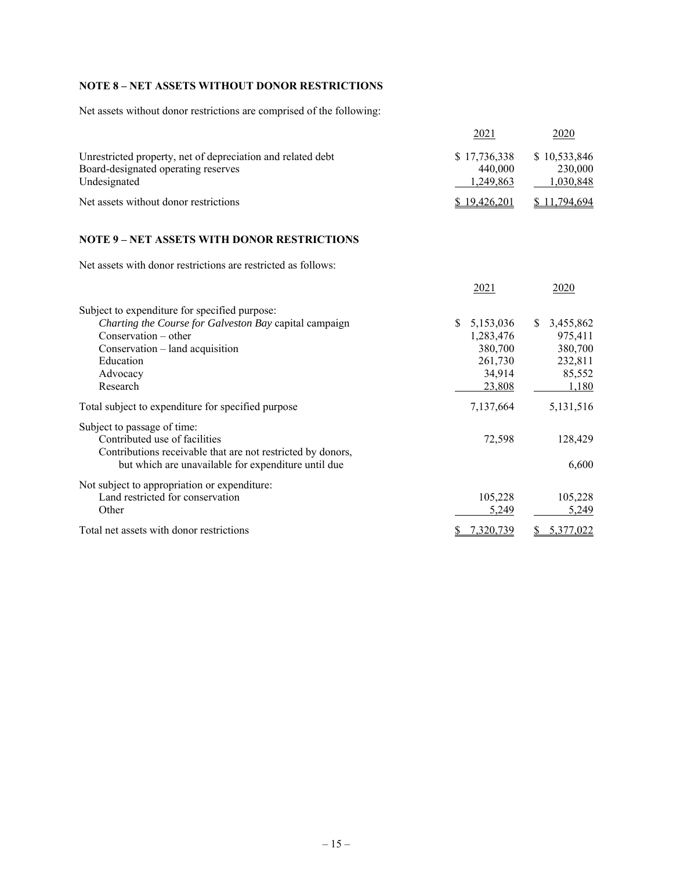## **NOTE 8 – NET ASSETS WITHOUT DONOR RESTRICTIONS**

Net assets without donor restrictions are comprised of the following:

|                                                                                                                                                                                                           | 2021                                                                              | 2020                                                                           |
|-----------------------------------------------------------------------------------------------------------------------------------------------------------------------------------------------------------|-----------------------------------------------------------------------------------|--------------------------------------------------------------------------------|
| Unrestricted property, net of depreciation and related debt<br>Board-designated operating reserves<br>Undesignated                                                                                        | \$17,736,338<br>440,000<br>1,249,863                                              | \$10,533,846<br>230,000<br>1,030,848                                           |
| Net assets without donor restrictions                                                                                                                                                                     | \$19,426,201                                                                      | \$11,794,694                                                                   |
| <b>NOTE 9 - NET ASSETS WITH DONOR RESTRICTIONS</b>                                                                                                                                                        |                                                                                   |                                                                                |
| Net assets with donor restrictions are restricted as follows:                                                                                                                                             |                                                                                   |                                                                                |
|                                                                                                                                                                                                           | 2021                                                                              | 2020                                                                           |
| Subject to expenditure for specified purpose:<br>Charting the Course for Galveston Bay capital campaign<br>Conservation $-$ other<br>Conservation – land acquisition<br>Education<br>Advocacy<br>Research | 5,153,036<br><sup>\$</sup><br>1,283,476<br>380,700<br>261,730<br>34,914<br>23,808 | 3,455,862<br><sup>\$</sup><br>975,411<br>380,700<br>232,811<br>85,552<br>1.180 |
| Total subject to expenditure for specified purpose                                                                                                                                                        | 7,137,664                                                                         | 5,131,516                                                                      |
| Subject to passage of time:<br>Contributed use of facilities<br>Contributions receivable that are not restricted by donors,<br>but which are unavailable for expenditure until due                        | 72,598                                                                            | 128,429<br>6,600                                                               |
| Not subject to appropriation or expenditure:<br>Land restricted for conservation<br>Other                                                                                                                 | 105,228<br>5,249                                                                  | 105,228<br>5,249                                                               |
| Total net assets with donor restrictions                                                                                                                                                                  | 7,320,739<br>\$                                                                   | 5,377,022<br>\$                                                                |